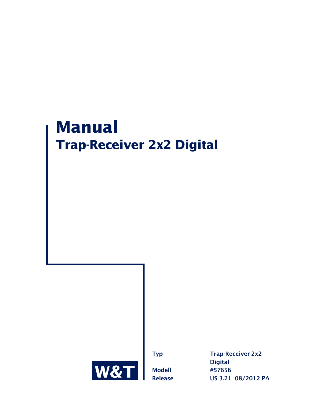# **Manual Trap-Receiver 2x2 Digital**



**Typ** Trap-Receiver 2x2 **Digital Modell #57656 Release US 3.21 08/2012 PA**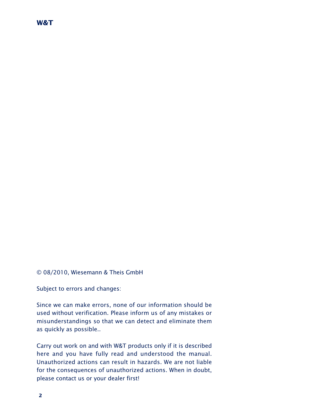#### © 08/2010, Wiesemann & Theis GmbH

Subject to errors and changes:

Since we can make errors, none of our information should be used without verification. Please inform us of any mistakes or misunderstandings so that we can detect and eliminate them as quickly as possible..

Carry out work on and with W&T products only if it is described here and you have fully read and understood the manual. Unauthorized actions can result in hazards. We are not liable for the consequences of unauthorized actions. When in doubt, please contact us or your dealer first!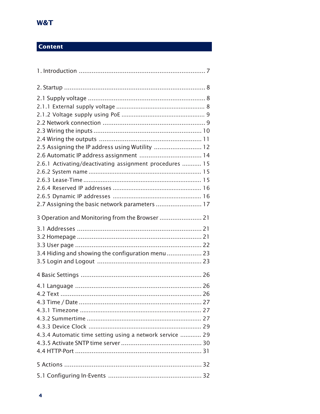# **Content**

| 2.5 Assigning the IP address using Wutility  12          |  |
|----------------------------------------------------------|--|
| 2.6 Automatic IP address assignment  14                  |  |
| 2.6.1 Activating/deactivating assignment procedures  15  |  |
|                                                          |  |
|                                                          |  |
|                                                          |  |
|                                                          |  |
| 2.7 Assigning the basic network parameters  17           |  |
| 3 Operation and Monitoring from the Browser  21          |  |
|                                                          |  |
|                                                          |  |
|                                                          |  |
| 3.4 Hiding and showing the configuration menu  23        |  |
|                                                          |  |
|                                                          |  |
|                                                          |  |
|                                                          |  |
|                                                          |  |
|                                                          |  |
|                                                          |  |
|                                                          |  |
| 4.3.4 Automatic time setting using a network service  29 |  |
|                                                          |  |
|                                                          |  |
|                                                          |  |
|                                                          |  |
|                                                          |  |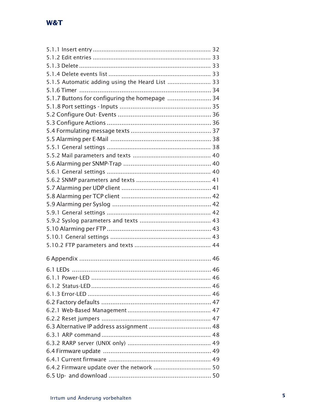| 5.1.5 Automatic adding using the Heard List  33 |
|-------------------------------------------------|
|                                                 |
| 5.1.7 Buttons for configuring the homepage  34  |
|                                                 |
|                                                 |
|                                                 |
|                                                 |
|                                                 |
|                                                 |
|                                                 |
|                                                 |
|                                                 |
|                                                 |
|                                                 |
|                                                 |
|                                                 |
|                                                 |
|                                                 |
|                                                 |
|                                                 |
|                                                 |
|                                                 |
|                                                 |
|                                                 |
|                                                 |
|                                                 |
|                                                 |
|                                                 |
|                                                 |
|                                                 |
|                                                 |
|                                                 |
|                                                 |
|                                                 |
|                                                 |
|                                                 |
|                                                 |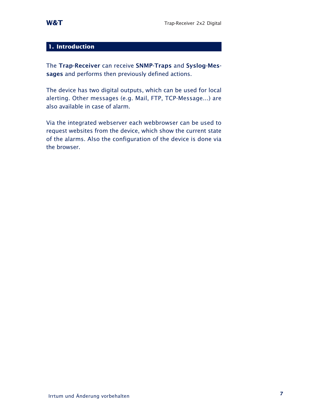## **1. Introduction**

The **Trap-Receiver** can receive **SNMP-Traps** and **Syslog-Messages** and performs then previously defined actions.

The device has two digital outputs, which can be used for local alerting. Other messages (e.g. Mail, FTP, TCP-Message...) are also available in case of alarm.

Via the integrated webserver each webbrowser can be used to request websites from the device, which show the current state of the alarms. Also the configuration of the device is done via the browser.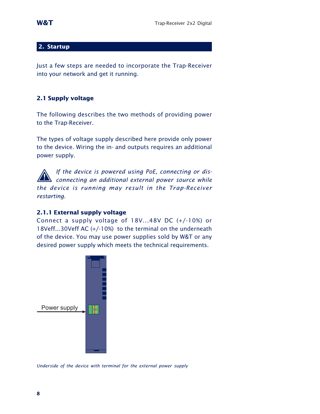## **2. Startup**

Just a few steps are needed to incorporate the Trap-Receiver into your network and get it running.

## **2.1 Supply voltage**

The following describes the two methods of providing power to the Trap-Receiver.

The types of voltage supply described here provide only power to the device. Wiring the in- and outputs requires an additional power supply.

**16** If the device is powered using PoE, connecting or dis-<br>**1** *connecting an additional external power source while the device is running may result in the Trap-Receiver restarting.*

## **2.1.1 External supply voltage**

Connect a supply voltage of 18V...48V DC (+/-10%) or 18Veff...30Veff AC (+/-10%) to the terminal on the underneath of the device. You may use power supplies sold by W&T or any desired power supply which meets the technical requirements.



*Underside of the device with terminal for the external power supply*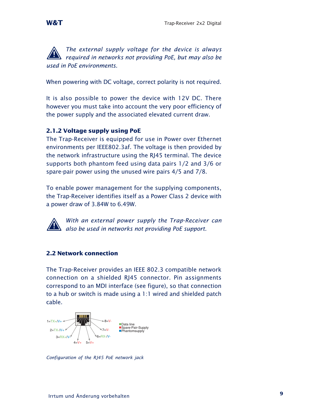*The external supply voltage for the device is always 19 <i>required in networks not providing PoE, but may also be used in PoE environments.*

When powering with DC voltage, correct polarity is not required.

It is also possible to power the device with 12V DC. There however you must take into account the very poor efficiency of the power supply and the associated elevated current draw.

## **2.1.2 Voltage supply using PoE**

The Trap-Receiver is equipped for use in Power over Ethernet environments per IEEE802.3af. The voltage is then provided by the network infrastructure using the RJ45 terminal. The device supports both phantom feed using data pairs 1/2 and 3/6 or spare-pair power using the unused wire pairs 4/5 and 7/8.

To enable power management for the supplying components, the Trap-Receiver identifies itself as a Power Class 2 device with a power draw of 3.84W to 6.49W.

*With an external power supply the Trap-Receiver can 1 also be used in networks not providing PoE support.*

## **2.2 Network connection**

The Trap-Receiver provides an IEEE 802.3 compatible network connection on a shielded RJ45 connector. Pin assignments correspond to an MDI interface (see figure), so that connection to a hub or switch is made using a 1:1 wired and shielded patch cable.



*Configuration of the RJ45 PoE network jack*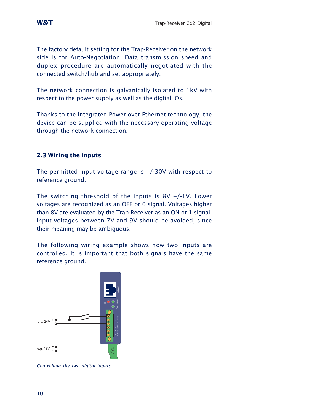The factory default setting for the Trap-Receiver on the network side is for Auto-Negotiation. Data transmission speed and duplex procedure are automatically negotiated with the connected switch/hub and set appropriately.

The network connection is galvanically isolated to 1kV with respect to the power supply as well as the digital IOs.

Thanks to the integrated Power over Ethernet technology, the device can be supplied with the necessary operating voltage through the network connection.

## **2.3 Wiring the inputs**

The permitted input voltage range is +/-30V with respect to reference ground.

The switching threshold of the inputs is  $8V + (-1V)$ . Lower voltages are recognized as an OFF or 0 signal. Voltages higher than 8V are evaluated by the Trap-Receiver as an ON or 1 signal. Input voltages between 7V and 9V should be avoided, since their meaning may be ambiguous.

The following wiring example shows how two inputs are controlled. It is important that both signals have the same reference ground.



*Controlling the two digital inputs*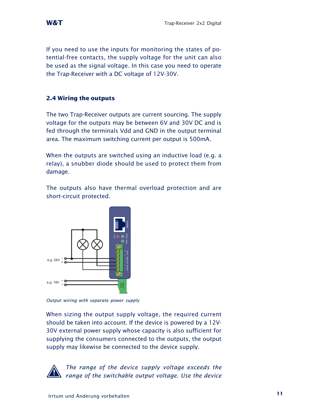If you need to use the inputs for monitoring the states of potential-free contacts, the supply voltage for the unit can also be used as the signal voltage. In this case you need to operate the Trap-Receiver with a DC voltage of 12V-30V.

## **2.4 Wiring the outputs**

The two Trap-Receiver outputs are current sourcing. The supply voltage for the outputs may be between 6V and 30V DC and is fed through the terminals Vdd and GND in the output terminal area. The maximum switching current per output is 500mA.

When the outputs are switched using an inductive load (e.g. a relay), a snubber diode should be used to protect them from damage.

The outputs also have thermal overload protection and are short-circuit protected.



*Output wiring with separate power supply*

When sizing the output supply voltage, the required current should be taken into account. If the device is powered by a 12V-30V external power supply whose capacity is also sufficient for supplying the consumers connected to the outputs, the output supply may likewise be connected to the device supply.



*The range of the device supply voltage exceeds the 1 range of the switchable output voltage. Use the device*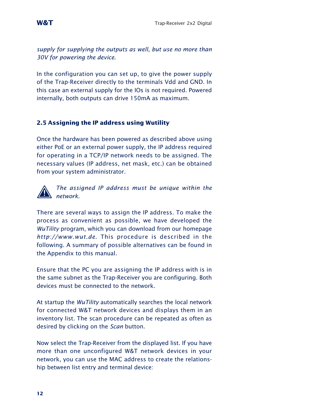*supply for supplying the outputs as well, but use no more than 30V for powering the device.*

In the configuration you can set up, to give the power supply of the Trap-Receiver directly to the terminals Vdd and GND. In this case an external supply for the IOs is not required. Powered internally, both outputs can drive 150mA as maximum.

## **2.5 Assigning the IP address using Wutility**

Once the hardware has been powered as described above using either PoE or an external power supply, the IP address required for operating in a TCP/IP network needs to be assigned. The necessary values (IP address, net mask, etc.) can be obtained from your system administrator.



*The assigned IP address must be unique within the 1 network.*

There are several ways to assign the IP address. To make the process as convenient as possible, we have developed the *WuTility* program, which you can download from our homepage *http://www.wut.de*. This procedure is described in the following. A summary of possible alternatives can be found in the Appendix to this manual.

Ensure that the PC you are assigning the IP address with is in the same subnet as the Trap-Receiver you are configuring. Both devices must be connected to the network.

At startup the *WuTility* automatically searches the local network for connected W&T network devices and displays them in an inventory list. The scan procedure can be repeated as often as desired by clicking on the *Scan* button.

Now select the Trap-Receiver from the displayed list. If you have more than one unconfigured W&T network devices in your network, you can use the MAC address to create the relationship between list entry and terminal device: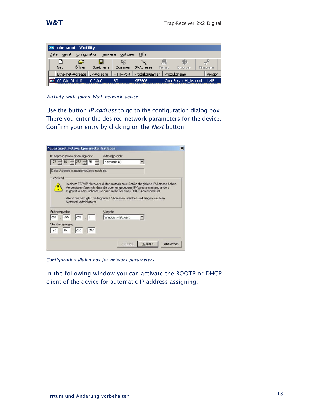|       |               | <b>EX Unbenannt - WuTility</b> |            |    |                                  |               |        |                      |           |
|-------|---------------|--------------------------------|------------|----|----------------------------------|---------------|--------|----------------------|-----------|
| Datei | Gerät         | Konfiguration                  |            |    | Firmware Optionen                | Hilfe         |        |                      |           |
|       |               | £                              | ы          |    | $(\langle \cdot, \cdot \rangle)$ |               | 트      | 的形                   |           |
| Neu   |               | Öffnen                         | Speichern  |    | Scannen                          | IP-Adresse    | Telnet | Browser              | Firmware. |
|       |               | Ethernet-Adresse               | IP-Adresse |    | HTTP-Port                        | Produktnummer |        | Produktname          | Version   |
|       | 00c03d:01fd10 |                                | 0.0.0.0    | 80 |                                  | #57606        |        | Com-Server Highspeed | 1.45      |

*WuTility with found W&T network device*

Use the button *IP address* to go to the configuration dialog box. There you enter the desired network parameters for the device. Confirm your entry by clicking on the *Next* button:

| Neues Gerät: Netzwerkparameter festlegen    |                                                                                                                                                                                                                                                                                                                           | $\vert x \vert$ |
|---------------------------------------------|---------------------------------------------------------------------------------------------------------------------------------------------------------------------------------------------------------------------------------------------------------------------------------------------------------------------------|-----------------|
| IP-Adresse (muss eindeutig sein):           | Adressbereich:                                                                                                                                                                                                                                                                                                            |                 |
| $172 - 16 - 232 - 26$                       | Netzwerk #0                                                                                                                                                                                                                                                                                                               |                 |
| Diese Adresse ist möglicherweise noch frei. |                                                                                                                                                                                                                                                                                                                           |                 |
| Vorsicht                                    |                                                                                                                                                                                                                                                                                                                           |                 |
| Netzwerk-Administrator                      | In einem TCP/IP-Netzwerk dürfen niemals zwei Geräte die gleiche IP-Adresse haben.<br>Vergewissern Sie sich, dass die oben eingegebene IP-Adresse niemand anders<br>zugeteilt wurde und dass sie auch nicht Teil eines DHCP-Adresspools ist.<br>Wenn Sie bezüglich verfügbarer IP-Adressen unsicher sind, fragen Sie ihren |                 |
| Subnetzmaske:                               | Vorgabe                                                                                                                                                                                                                                                                                                                   |                 |
| 255 255 255 0                               | Windows-Netzwerk                                                                                                                                                                                                                                                                                                          |                 |
| Standardgateway:<br>172 . 16 . 232 . 252    |                                                                                                                                                                                                                                                                                                                           |                 |
|                                             | Weiter ><br>Abbrechen<br>< Zurück                                                                                                                                                                                                                                                                                         |                 |

*Configuration dialog box for network parameters*

In the following window you can activate the BOOTP or DHCP client of the device for automatic IP address assigning: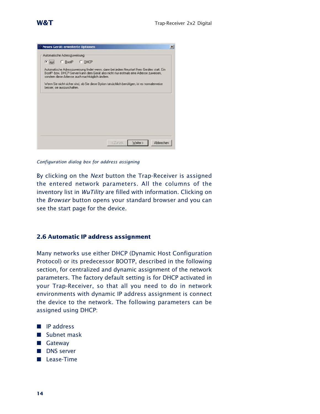|               |                              | Neues Gerät: erweiterte Optionen                |                                                                                                                                                                                     |  |
|---------------|------------------------------|-------------------------------------------------|-------------------------------------------------------------------------------------------------------------------------------------------------------------------------------------|--|
|               | Automatische Adresszuweisung |                                                 |                                                                                                                                                                                     |  |
| $\bullet$ aus |                              | C BootP C DHCP                                  |                                                                                                                                                                                     |  |
|               |                              | sondern diese Adresse auch nachträglich ändern. | Automatische Adresszuweisung findet wenn, dann bei jedem Neustart Ihres Gerätes statt. Ein<br>BootP- bzw. DHCP-Server kann dem Gerät also nicht nur erstmals eine Adresse zuweisen, |  |
|               | besser, sie auszuschalten.   |                                                 | Wenn Sie nicht sicher sind, ob Sie diese Option tatsächlich benötigen, ist es normalerweise                                                                                         |  |
|               |                              |                                                 |                                                                                                                                                                                     |  |
|               |                              |                                                 |                                                                                                                                                                                     |  |
|               |                              |                                                 |                                                                                                                                                                                     |  |
|               |                              |                                                 |                                                                                                                                                                                     |  |
|               |                              |                                                 |                                                                                                                                                                                     |  |
|               |                              |                                                 |                                                                                                                                                                                     |  |
|               |                              |                                                 |                                                                                                                                                                                     |  |

*Configuration dialog box for address assigning*

By clicking on the *Next* button the Trap-Receiver is assigned the entered network parameters. All the columns of the inventory list in *WuTility* are filled with information. Clicking on the *Browser* button opens your standard browser and you can see the start page for the device.

## **2.6 Automatic IP address assignment**

Many networks use either DHCP (Dynamic Host Configuration Protocol) or its predecessor BOOTP, described in the following section, for centralized and dynamic assignment of the network parameters. The factory default setting is for DHCP activated in your Trap-Receiver, so that all you need to do in network environments with dynamic IP address assignment is connect the device to the network. The following parameters can be assigned using DHCP:

- **P** IP address
- **No. Subnet mask**
- **B** Gateway
- **DNS** server
- **Lease-Time**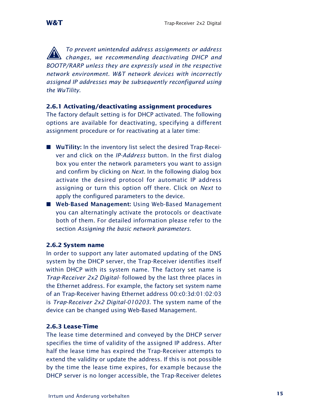*To prevent unintended address assignments or address 1 changes, we recommending deactivating DHCP and BOOTP/RARP unless they are expressly used in the respective network environment. W&T network devices with incorrectly assigned IP addresses may be subsequently reconfigured using the WuTility.*

## **2.6.1 Activating/deactivating assignment procedures**

The factory default setting is for DHCP activated. The following options are available for deactivating, specifying a different assignment procedure or for reactivating at a later time:

- **WuTility:** In the inventory list select the desired Trap-Receiver and click on the *IP-Address* button. In the first dialog box you enter the network parameters you want to assign and confirm by clicking on *Next*. In the following dialog box activate the desired protocol for automatic IP address assigning or turn this option off there. Click on *Next* to apply the configured parameters to the device.
- . **Web-Based Management:** Using Web-Based Management you can alternatingly activate the protocols or deactivate both of them. For detailed information please refer to the section *Assigning the basic network parameters*.

## **2.6.2 System name**

In order to support any later automated updating of the DNS system by the DHCP server, the Trap-Receiver identifies itself within DHCP with its system name. The factory set name is *Trap-Receiver 2x2 Digital-* followed by the last three places in the Ethernet address. For example, the factory set system name of an Trap-Receiver having Ethernet address 00:c0:3d:01:02:03 is *Trap-Receiver 2x2 Digital-010203*. The system name of the device can be changed using Web-Based Management.

#### **2.6.3 Lease-Time**

The lease time determined and conveyed by the DHCP server specifies the time of validity of the assigned IP address. After half the lease time has expired the Trap-Receiver attempts to extend the validity or update the address. If this is not possible by the time the lease time expires, for example because the DHCP server is no longer accessible, the Trap-Receiver deletes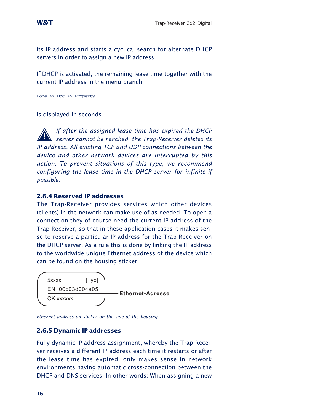its IP address and starts a cyclical search for alternate DHCP servers in order to assign a new IP address.

If DHCP is activated, the remaining lease time together with the current IP address in the menu branch

Home >> Doc >> Property

is displayed in seconds.

*If after the assigned lease time has expired the DHCP 1 server cannot be reached, the Trap-Receiver deletes its IP address. All existing TCP and UDP connections between the device and other network devices are interrupted by this action. To prevent situations of this type, we recommend configuring the lease time in the DHCP server for infinite if possible.*

#### **2.6.4 Reserved IP addresses**

The Trap-Receiver provides services which other devices (clients) in the network can make use of as needed. To open a connection they of course need the current IP address of the Trap-Receiver, so that in these application cases it makes sense to reserve a particular IP address for the Trap-Receiver on the DHCP server. As a rule this is done by linking the IP address to the worldwide unique Ethernet address of the device which can be found on the housing sticker.



*Ethernet address on sticker on the side of the housing*

## **2.6.5 Dynamic IP addresses**

Fully dynamic IP address assignment, whereby the Trap-Receiver receives a different IP address each time it restarts or after the lease time has expired, only makes sense in network environments having automatic cross-connection between the DHCP and DNS services. In other words: When assigning a new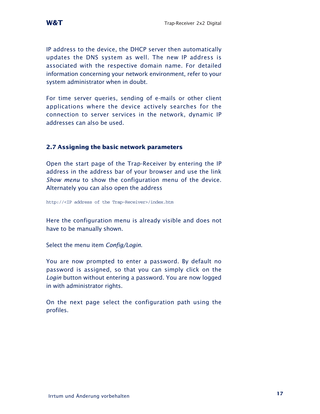IP address to the device, the DHCP server then automatically updates the DNS system as well. The new IP address is associated with the respective domain name. For detailed information concerning your network environment, refer to your system administrator when in doubt.

For time server queries, sending of e-mails or other client applications where the device actively searches for the connection to server services in the network, dynamic IP addresses can also be used.

## **2.7 Assigning the basic network parameters**

Open the start page of the Trap-Receiver by entering the IP address in the address bar of your browser and use the link *Show menu* to show the configuration menu of the device. Alternately you can also open the address

http://<IP address of the Trap-Receiver>/index.htm

Here the configuration menu is already visible and does not have to be manually shown.

Select the menu item *Config/Login*.

You are now prompted to enter a password. By default no password is assigned, so that you can simply click on the *Login* button without entering a password. You are now logged in with administrator rights.

On the next page select the configuration path using the profiles.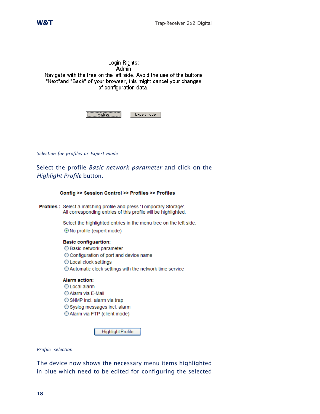J.

Login Rights: Admin Navigate with the tree on the left side. Avoid the use of the buttons "Next"and "Back" of your browser, this might cancel your changes of configuration data.

| ırt modo |
|----------|

*Selection for profiles or Expert mode*

Select the profile *Basic network parameter* and click on the *Highlight Profile* button.

| Config >> Session Control >> Profiles >> Profiles |                                                                                                                                              |  |  |  |
|---------------------------------------------------|----------------------------------------------------------------------------------------------------------------------------------------------|--|--|--|
|                                                   | <b>Profiles :</b> Select a matching profile and press 'Tomporary Storage'.<br>All corresponding entries of this profile will be highlighted. |  |  |  |
|                                                   | Select the highlighted entries in the menu tree on the left side.<br>$\odot$ No profile (expert mode)                                        |  |  |  |
|                                                   |                                                                                                                                              |  |  |  |

**Basic configuartion:** ◯ Basic network parameter O Configuration of port and device name O Local clock settings ◯ Automatic clock settings with the network time service

#### **Alarm action:**

- O Local alarm
- Alarm via E-Mail
- SNMP incl. alarm via trap
- Syslog messages incl. alarm
- O Alarm via FTP (client mode)

Highlight Profile

*Profile selection*

The device now shows the necessary menu items highlighted in blue which need to be edited for configuring the selected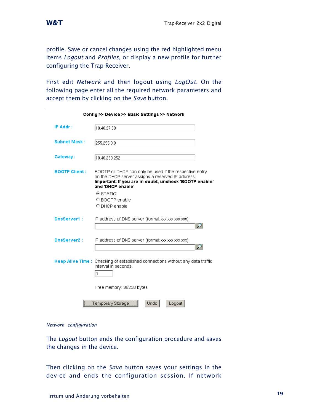profile. Save or cancel changes using the red highlighted menu items *Logout* and *Profiles*, or display a new profile for further configuring the Trap-Receiver.

First edit *Network* and then logout using *LogOut*. On the following page enter all the required network parameters and accept them by clicking on the *Save* button.

| IP Addr :            | 10.40.27.50                                                                                                                                                                                 |
|----------------------|---------------------------------------------------------------------------------------------------------------------------------------------------------------------------------------------|
| <b>Subnet Mask:</b>  | 255.255.0.0                                                                                                                                                                                 |
| Gateway:             | 10.40.250.252                                                                                                                                                                               |
| <b>BOOTP Client:</b> | BOOTP or DHCP can only be used if the respective entry<br>on the DHCP server assigns a reserved IP address.<br>Important: If you are in doubt, uncheck 'BOOTP enable'<br>and 'DHCP enable'. |
|                      | <b>⊙</b> STATIC                                                                                                                                                                             |
|                      | C BOOTP enable                                                                                                                                                                              |
|                      | O DHCP enable                                                                                                                                                                               |
| <b>DnsServer1:</b>   | IP address of DNS server (format xxx.xxx.xxx.xxx)                                                                                                                                           |
| <b>DnsServer2:</b>   | IP address of DNS server (format xxx.xxx.xxx.xxx)                                                                                                                                           |
|                      |                                                                                                                                                                                             |
|                      | Keep Alive Time: Checking of established connections without any data traffic.<br>Interval in seconds.<br>lo.                                                                               |
|                      | Free memory: 38238 bytes                                                                                                                                                                    |
|                      | Temporary Storage<br>Undo<br>Logout                                                                                                                                                         |

#### Config >> Device >> Basic Settings >> Network

#### *Network configuration*

The *Logout* button ends the configuration procedure and saves the changes in the device.

Then clicking on the *Save* button saves your settings in the device and ends the configuration session. If network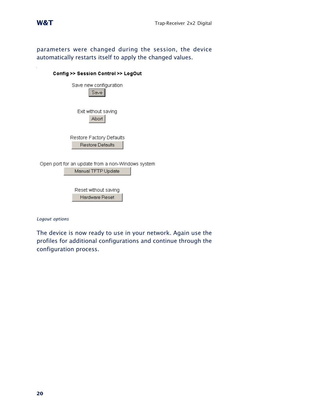

parameters were changed during the session, the device automatically restarts itself to apply the changed values.

| Config >> Session Control >> LogOut                                     |  |
|-------------------------------------------------------------------------|--|
| Save new configuration<br>Save                                          |  |
| Exit without saving<br>Abort                                            |  |
| Restore Factory Defaults                                                |  |
| <b>Restore Defaults</b>                                                 |  |
| Open port for an update from a non-Windows system<br>Manual TFTP Update |  |
|                                                                         |  |
| Reset without saving                                                    |  |
| Hardware Reset                                                          |  |

*Logout options*

The device is now ready to use in your network. Again use the profiles for additional configurations and continue through the configuration process.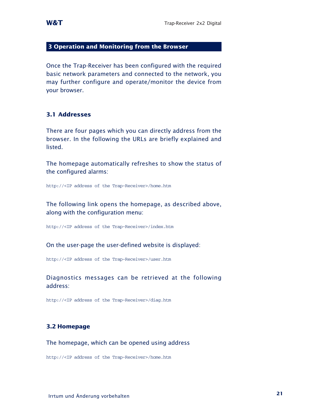#### **3 Operation and Monitoring from the Browser**

Once the Trap-Receiver has been configured with the required basic network parameters and connected to the network, you may further configure and operate/monitor the device from your browser.

#### **3.1 Addresses**

There are four pages which you can directly address from the browser. In the following the URLs are briefly explained and listed.

The homepage automatically refreshes to show the status of the configured alarms:

http://<IP address of the Trap-Receiver>/home.htm

The following link opens the homepage, as described above, along with the configuration menu:

http://<IP address of the Trap-Receiver>/index.htm

On the user-page the user-defined website is displayed:

http://<IP address of the Trap-Receiver>/user.htm

Diagnostics messages can be retrieved at the following address:

http://<IP address of the Trap-Receiver>/diag.htm

#### **3.2 Homepage**

The homepage, which can be opened using address

http://<IP address of the Trap-Receiver>/home.htm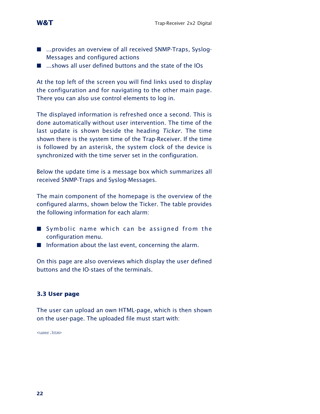- ...provides an overview of all received SNMP-Traps, Syslog-Messages and configured actions
- $\blacksquare$  ...shows all user defined buttons and the state of the IOs

At the top left of the screen you will find links used to display the configuration and for navigating to the other main page. There you can also use control elements to log in.

The displayed information is refreshed once a second. This is done automatically without user intervention. The time of the last update is shown beside the heading *Ticker*. The time shown there is the system time of the Trap-Receiver. If the time is followed by an asterisk, the system clock of the device is synchronized with the time server set in the configuration.

Below the update time is a message box which summarizes all received SNMP-Traps and Syslog-Messages.

The main component of the homepage is the overview of the configured alarms, shown below the Ticker. The table provides the following information for each alarm:

- Symbolic name which can be assigned from the configuration menu.
- $\blacksquare$  Information about the last event, concerning the alarm.

On this page are also overviews which display the user defined buttons and the IO-staes of the terminals.

## **3.3 User page**

The user can upload an own HTML-page, which is then shown on the user-page. The uploaded file must start with:

<user.htm>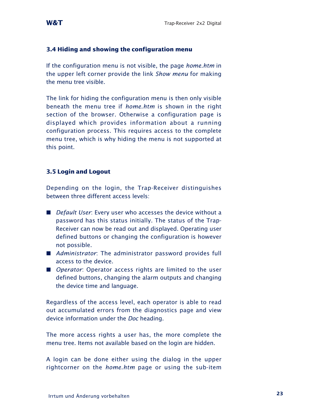## **3.4 Hiding and showing the configuration menu**

If the configuration menu is not visible, the page *home.htm* in the upper left corner provide the link *Show menu* for making the menu tree visible.

The link for hiding the configuration menu is then only visible beneath the menu tree if *home.htm* is shown in the right section of the browser. Otherwise a configuration page is displayed which provides information about a running configuration process. This requires access to the complete menu tree, which is why hiding the menu is not supported at this point.

## **3.5 Login and Logout**

Depending on the login, the Trap-Receiver distinguishes between three different access levels:

- *Default User*: Every user who accesses the device without a password has this status initially. The status of the Trap-Receiver can now be read out and displayed. Operating user defined buttons or changing the configuration is however not possible.
- **A** Administrator: The administrator password provides full access to the device.
- **Deparator:** Operator access rights are limited to the user defined buttons, changing the alarm outputs and changing the device time and language.

Regardless of the access level, each operator is able to read out accumulated errors from the diagnostics page and view device information under the *Doc* heading.

The more access rights a user has, the more complete the menu tree. Items not available based on the login are hidden.

A login can be done either using the dialog in the upper rightcorner on the *home.htm* page or using the sub-item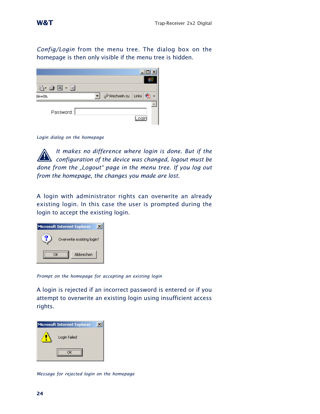*Config/Login* from the menu tree. The dialog box on the homepage is then only visible if the menu tree is hidden.

| $B \cdot A \times B$ |                   |  |
|----------------------|-------------------|--|
| &k=0&                | Wechseln zu Links |  |
|                      |                   |  |
| Password:            |                   |  |
|                      |                   |  |

*Login dialog on the homepage*

*It makes no difference where login is done. But if the 1 configuration of the device was changed, logout must be done from the "Logout" page in the menu tree. If you log out from the homepage, the changes you made are lost.*

A login with administrator rights can overwrite an already existing login. In this case the user is prompted during the login to accept the existing login.



*Prompt on the homepage for accepting an existing login*

A login is rejected if an incorrect password is entered or if you attempt to overwrite an existing login using insufficient access rights.



*Message for rejected login on the homepage*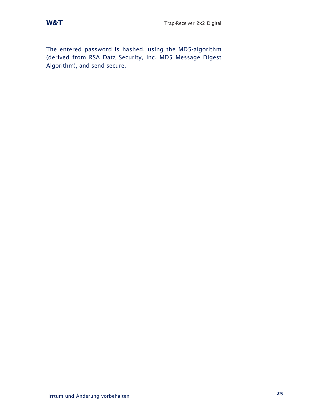The entered password is hashed, using the MD5-algorithm (derived from RSA Data Security, Inc. MD5 Message Digest Algorithm), and send secure.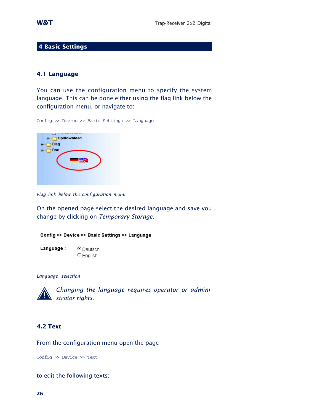#### **4 Basic Settings**

#### **4.1 Language**

You can use the configuration menu to specify the system language. This can be done either using the flag link below the configuration menu, or navigate to:

Config >> Device >> Basic Settings >> Language



*Flag link below the configuration menu*

On the opened page select the desired language and save you change by clicking on *Temporary Storage*.



*Language selection*



*Changing the language requires operator or admini- 1 strator rights.*

## **4.2 Text**

From the configuration menu open the page

Config >> Device >> Text

to edit the following texts: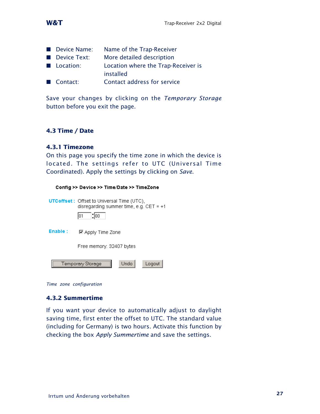

| Device Name:     | Name of the Trap-Receiver                        |
|------------------|--------------------------------------------------|
| Device Text:     | More detailed description                        |
| <b>Location:</b> | Location where the Trap-Receiver is<br>installed |
| Contact:         | Contact address for service                      |

Save your changes by clicking on the *Temporary Storage* button before you exit the page.

## **4.3 Time / Date**

## **4.3.1 Timezone**

On this page you specify the time zone in which the device is located. The settings refer to UTC (Universal Time Coordinated). Apply the settings by clicking on *Save*.

|          | Config >> Device >> Time/Date >> TimeZone                                                                      |
|----------|----------------------------------------------------------------------------------------------------------------|
|          | <b>UTCoffset:</b> Offset to Universal Time (UTC),<br>disregarding summer time, e.g. CET = $+1$<br>: 100<br>101 |
| Enable : | ⊠ Apply Time Zone                                                                                              |
|          | Free memory: 32407 bytes                                                                                       |
|          | Undo<br>Logout<br>emporary Storage                                                                             |

*Time zone configuration*

## **4.3.2 Summertime**

If you want your device to automatically adjust to daylight saving time, first enter the offset to UTC. The standard value (including for Germany) is two hours. Activate this function by checking the box *Apply Summertime* and save the settings.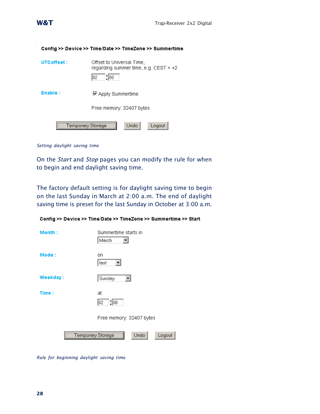|             | Config >> Device >> Time/Date >> TimeZone >> Summertime                              |
|-------------|--------------------------------------------------------------------------------------|
| UTCoffset : | Offset to Universal Time,<br>regarding summer time, e.g. CEST = $+2$<br>: 100<br>102 |
| Enable :    | <b>☑ Apply Summertime</b>                                                            |
|             | Free memory: 32407 bytes                                                             |
|             | Undo-<br>Temporary Storage<br>Logout                                                 |

*Setting daylight saving time*

On the *Start* and *Stop* pages you can modify the rule for when to begin and end daylight saving time.

The factory default setting is for daylight saving time to begin on the last Sunday in March at 2:00 a.m. The end of daylight saving time is preset for the last Sunday in October at 3:00 a.m.

|          | Config >> Device >> Time/Date >> TimeZone >> Summertime >> Start |
|----------|------------------------------------------------------------------|
| Month:   | Summertime starts in<br> March                                   |
| Mode:    | on<br> last                                                      |
| Weekday: | Sunday                                                           |
| Time:    | at<br>: 00<br>102<br>Free memory: 32407 bytes                    |
|          | Undo<br>Logout<br>'emporary Storage                              |

*Rule for beginning daylight saving time*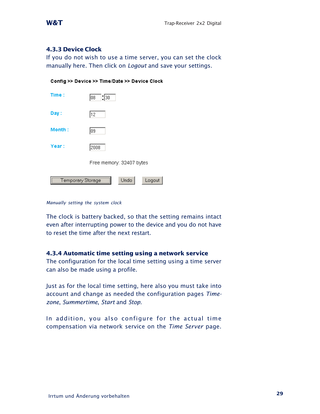## **4.3.3 Device Clock**

If you do not wish to use a time server, you can set the clock manually here. Then click on *Logout* and save your settings.

|  | Config >> Device >> Time/Date >> Device Clock |  |  |
|--|-----------------------------------------------|--|--|
|  |                                               |  |  |

| Time:                                      | $\frac{1}{30}$<br>108    |  |
|--------------------------------------------|--------------------------|--|
| Day:                                       | 12                       |  |
| Month:                                     | 109                      |  |
| Year:                                      | 2008                     |  |
|                                            | Free memory: 32407 bytes |  |
| Undo<br><b>Temporary Storage</b><br>Logout |                          |  |

*Manually setting the system clock*

The clock is battery backed, so that the setting remains intact even after interrupting power to the device and you do not have to reset the time after the next restart.

## **4.3.4 Automatic time setting using a network service**

The configuration for the local time setting using a time server can also be made using a profile.

Just as for the local time setting, here also you must take into account and change as needed the configuration pages *Timezone*, *Summertime*, *Start* and *Stop*.

In addition, you also configure for the actual time compensation via network service on the *Time Server* page.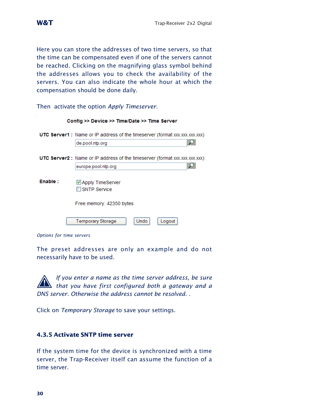Here you can store the addresses of two time servers, so that the time can be compensated even if one of the servers cannot be reached. Clicking on the magnifying glass symbol behind the addresses allows you to check the availability of the servers. You can also indicate the whole hour at which the compensation should be done daily.

Then activate the option *Apply Timeserver*.

|         | Config >> Device >> Time/Date >> Time Server                                      |
|---------|-----------------------------------------------------------------------------------|
|         | <b>UTC Server1:</b> Name or IP address of the timeserver (format xxx.xxx.xxx.xxx) |
|         | de.pool.ntp.org                                                                   |
|         | <b>UTC Server2:</b> Name or IP address of the timeserver (format xxx.xxx.xxx.xxx) |
|         | europe.pool.ntp.org                                                               |
| Enable: | ☑ Apply TimeServer<br><b>SNTP Service</b>                                         |
|         | Free memory: 42350 bytes                                                          |
|         | <b>Temporary Storage</b><br>Undo<br>Logout                                        |

*Options for time servers*

The preset addresses are only an example and do not necessarily have to be used.

*If you enter a name as the time server address, be sure 1.1 that you have first configured both a gateway and a DNS server. Otherwise the address cannot be resolved. .*

Click on *Temporary Storage* to save your settings.

## **4.3.5 Activate SNTP time server**

If the system time for the device is synchronized with a time server, the Trap-Receiver itself can assume the function of a time server.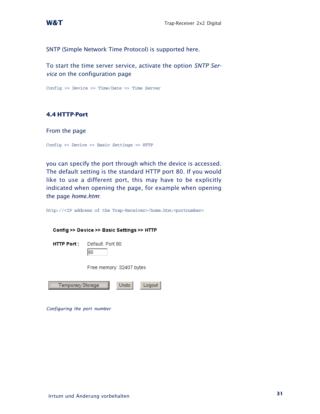SNTP (Simple Network Time Protocol) is supported here.

To start the time server service, activate the option *SNTP Service* on the configuration page

Config >> Device >> Time/Date >> Time Server

## **4.4 HTTP-Port**

From the page

Config >> Device >> Basic Settings >> HTTP

you can specify the port through which the device is accessed. The default setting is the standard HTTP port 80. If you would like to use a different port, this may have to be explicitly indicated when opening the page, for example when opening the page *home.htm*:

http://<IP address of the Trap-Receiver>/home.htm:<portnumber>

| Config >> Device >> Basic Settings >> HTTP |                          |  |  |
|--------------------------------------------|--------------------------|--|--|
| <b>HTTP Port:</b>                          | Default Port 80<br>180   |  |  |
|                                            | Free memory: 32407 bytes |  |  |
| I emporary Storage                         | Undo<br>Logout           |  |  |

*Configuring the port number*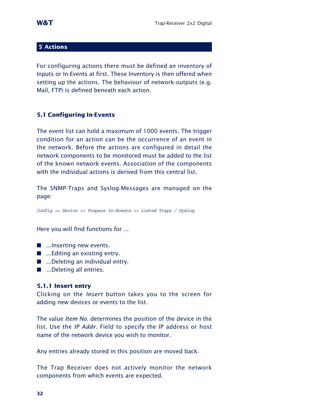## **5 Actions**

For configuring actions there must be defined an inventory of Inputs or In-Events at first. These Inventory is then offered when setting up the actions. The behaviour of network-outputs (e.g. Mail, FTP) is defined beneath each action.

## **5.1 Configuring In-Events**

The event list can hold a maximum of 1000 events. The trigger condition for an action can be the occurrence of an event in the network. Before the actions are configured in detail the network components to be monitored must be added to the list of the known network events. Association of the components with the individual actions is derived from this central list.

The SNMP-Traps and Syslog-Messages are managed on the page:

Config >> Device >> Prepare In-Events >> Listed Traps / Syslog

Here you will find functions for ...

- $\blacksquare$  ...Inserting new events.
- ...Editing an existing entry.
- ...Deleting an individual entry.
- ...Deleting all entries.

## **5.1.1 Insert entry**

Clicking on the *Insert* button takes you to the screen for adding new devices or events to the list.

The value *Item No.* determines the position of the device in the list. Use the *IP Addr.* Field to specify the IP address or host name of the network device you wish to monitor.

Any entries already stored in this position are moved back.

The Trap Receiver does not actively monitor the network components from which events are expected.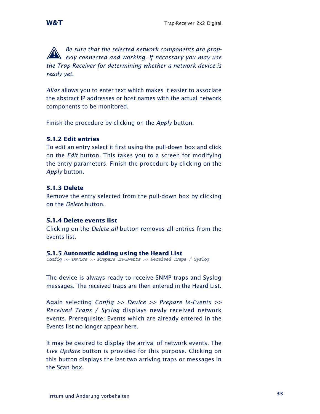**A** *Be sure that the selected network components are prop-*<br>*1 <i>erly connected and working. If necessary you may use the Trap-Receiver for determining whether a network device is ready yet.*

*Alias* allows you to enter text which makes it easier to associate the abstract IP addresses or host names with the actual network components to be monitored.

Finish the procedure by clicking on the *Apply* button.

## **5.1.2 Edit entries**

To edit an entry select it first using the pull-down box and click on the *Edit* button. This takes you to a screen for modifying the entry parameters. Finish the procedure by clicking on the *Apply* button.

## **5.1.3 Delete**

Remove the entry selected from the pull-down box by clicking on the *Delete* button.

## **5.1.4 Delete events list**

Clicking on the *Delete all* button removes all entries from the events list.

## **5.1.5 Automatic adding using the Heard List**

Config >> Device >> Prepare In-Events >> Received Traps / Syslog

The device is always ready to receive SNMP traps and Syslog messages. The received traps are then entered in the Heard List.

Again selecting *Config >> Device >> Prepare In-Events >> Received Traps / Syslog* displays newly received network events. Prerequisite: Events which are already entered in the Events list no longer appear here.

It may be desired to display the arrival of network events. The *Live Update* button is provided for this purpose. Clicking on this button displays the last two arriving traps or messages in the Scan box.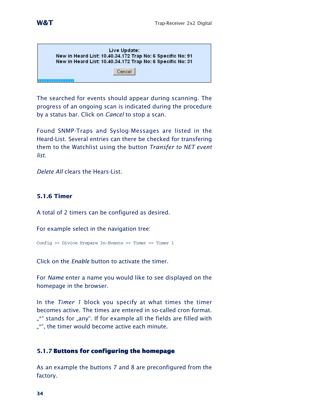| Live Update:<br>New in Heard List: 10.40.34.172 Trap No: 6 Specific No: 91<br>New in Heard List: 10.40.34.172 Trap No: 6 Specific No: 31 |  |
|------------------------------------------------------------------------------------------------------------------------------------------|--|
| Cancel                                                                                                                                   |  |

The searched for events should appear during scanning. The progress of an ongoing scan is indicated during the procedure by a status bar. Click on *Cancel* to stop a scan.

Found SNMP-Traps and Syslog-Messages are listed in the Heard-List. Several entries can there be checked for transfering them to the Watchlist using the button *Transfer to NET event list*.

*Delete All* clears the Hears-List.

## **5.1.6 Timer**

A total of 2 timers can be configured as desired.

For example select in the navigation tree:

```
Config >> Divice Prepare In-Events >> Timer >> Timer 1
```
Click on the *Enable* button to activate the timer.

For *Name* enter a name you would like to see displayed on the homepage in the browser.

In the *Timer 1* block you specify at what times the timer becomes active. The times are entered in so-called cron format. "\*" stands for "any". If for example all the fields are filled with "\*", the timer would become active each minute.

## **5.1.7 Buttons for configuring the homepage**

As an example the buttons 7 and 8 are preconfigured from the factory.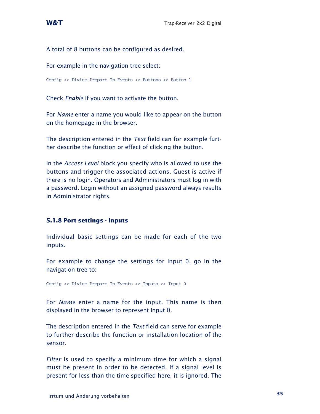## A total of 8 buttons can be configured as desired.

#### For example in the navigation tree select:

Config >> Divice Prepare In-Events >> Buttons >> Button 1

Check *Enable* if you want to activate the button.

For *Name* enter a name you would like to appear on the button on the homepage in the browser.

The description entered in the *Text* field can for example further describe the function or effect of clicking the button.

In the *Access Level* block you specify who is allowed to use the buttons and trigger the associated actions. Guest is active if there is no login. Operators and Administrators must log in with a password. Login without an assigned password always results in Administrator rights.

## **5.1.8 Port settings - Inputs**

Individual basic settings can be made for each of the two inputs.

For example to change the settings for Input 0, go in the navigation tree to:

Config >> Divice Prepare In-Events >> Inputs >> Input 0

For *Name* enter a name for the input. This name is then displayed in the browser to represent Input 0.

The description entered in the *Text* field can serve for example to further describe the function or installation location of the sensor.

*Filter* is used to specify a minimum time for which a signal must be present in order to be detected. If a signal level is present for less than the time specified here, it is ignored. The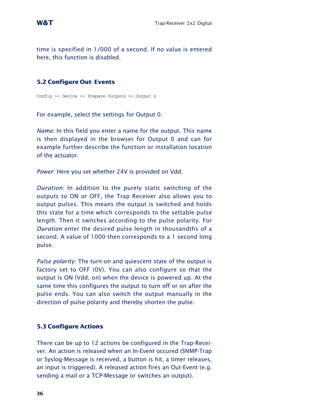time is specified in 1/000 of a second. If no value is entered here, this function is disabled.

## **5.2 Configure Out- Events**

Config >> Device >> Prepare Outputs >> Output x

For example, select the settings for Output 0.

*Name*: In this field you enter a name for the output. This name is then displayed in the browser for Output 0 and can for example further describe the function or installation location of the actuator.

*Power*: Here you set whether 24V is provided on Vdd.

*Duration*: In addition to the purely static switching of the outputs to ON or OFF, the Trap Receiver also allows you to output pulses. This means the output is switched and holds this state for a time which corresponds to the settable pulse length. Then it switches according to the pulse polarity. For *Duration* enter the desired pulse length in thousandths of a second. A value of 1000 then corresponds to a 1 second long pulse.

*Pulse polarity:* The turn-on and quiescent state of the output is factory set to OFF (0V). You can also configure so that the output is ON (Vdd, on) when the device is powered up. At the same time this configures the output to turn off or on after the pulse ends. You can also switch the output manually in the direction of pulse polarity and thereby shorten the pulse.

## **5.3 Configure Actions**

There can be up to 12 actions be configured in the Trap-Receiver. An action is released when an In-Event occured (SNMP-Trap or Syslog-Message is received, a button is hit, a timer releases, an input is triggered). A released action fires an Out-Event (e.g. sending a mail or a TCP-Message or switches an output).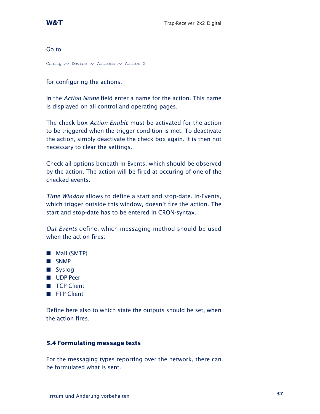Go to:

Config >> Device >> Actions >> Action X

for configuring the actions.

In the *Action Name* field enter a name for the action. This name is displayed on all control and operating pages.

The check box *Action Enable* must be activated for the action to be triggered when the trigger condition is met. To deactivate the action, simply deactivate the check box again. It is then not necessary to clear the settings.

Check all options beneath In-Events, which should be observed by the action. The action will be fired at occuring of one of the checked events.

*Time Window* allows to define a start and stop-date. In-Events, which trigger outside this window, doesn't fire the action. The start and stop-date has to be entered in CRON-syntax.

*Out-Events* define, which messaging method should be used when the action fires:

- **Mail (SMTP)**
- **B** SNMP
- **B** Syslog
- **Depared Blue Depared Track**
- **TCP Client**
- **FTP Client**

Define here also to which state the outputs should be set, when the action fires.

## **5.4 Formulating message texts**

For the messaging types reporting over the network, there can be formulated what is sent.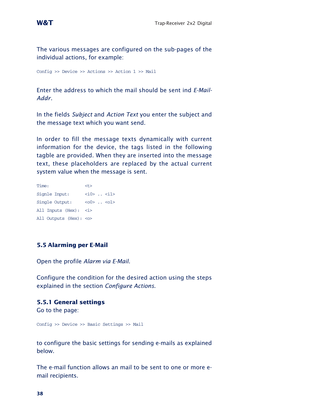The various messages are configured on the sub-pages of the individual actions, for example:

Config >> Device >> Actions >> Action 1 >> Mail

Enter the address to which the mail should be sent ind *E-Mail-Addr.*

In the fields *Subject* and *Action Text* you enter the subject and the message text which you want send.

In order to fill the message texts dynamically with current information for the device, the tags listed in the following tagble are provided. When they are inserted into the message text, these placeholders are replaced by the actual current system value when the message is sent.

| Time:                     | $<$ t $>$         |
|---------------------------|-------------------|
| Signle Input:             | $<$ i0> $. <$ i1> |
| Single Output:            | $<00>$ . $<01>$   |
| All Inputs (Hex): <i></i> |                   |
| All Outputs (Hex): <0>    |                   |

## **5.5 Alarming per E-Mail**

Open the profile *Alarm via E-Mail*.

Configure the condition for the desired action using the steps explained in the section *Configure Actions*.

#### **5.5.1 General settings**

Go to the page:

Config >> Device >> Basic Settings >> Mail

to configure the basic settings for sending e-mails as explained below.

The e-mail function allows an mail to be sent to one or more email recipients.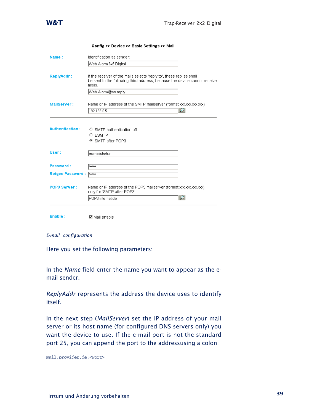

ý.

|                         | Config >> Device >> Basic Settings >> Mail                                                                                                                  |
|-------------------------|-------------------------------------------------------------------------------------------------------------------------------------------------------------|
| Name:                   | Identification as sender:                                                                                                                                   |
|                         | Web-Alarm 6x6 Digital                                                                                                                                       |
| <b>ReplyAddr:</b>       | If the receiver of the mails selects 'reply to', these replies shall<br>be sent to the following third address, because the device cannot receive<br>mails. |
|                         | Web-Alarm@no.reply                                                                                                                                          |
| MailServer:             | Name or IP address of the SMTP mailserver (format xxx.xxx.xxx.xxx)<br>Ω<br>192.168.0.5                                                                      |
| <b>Authentication:</b>  | O SMTP authentication off<br><b>C</b> ESMTP<br>⊙ SMTP after POP3                                                                                            |
| User:                   | administrator                                                                                                                                               |
| Password:               | <b>Scholak</b>                                                                                                                                              |
| <b>Retype Password:</b> | <b>Jololok</b>                                                                                                                                              |
| <b>POP3 Server:</b>     | Name or IP address of the POP3 mailserver (format xxx.xxx.xxx.xxx)<br>only for 'SMTP after POP3'<br>Ω<br>POP3.internet.de                                   |
| Enable:                 | $\nabla$ Mail enable                                                                                                                                        |

```
E-mail configuration
```
Here you set the following parameters:

In the *Name* field enter the name you want to appear as the email sender.

*ReplyAddr* represents the address the device uses to identify itself.

In the next step (*MailServer*) set the IP address of your mail server or its host name (for configured DNS servers only) you want the device to use. If the e-mail port is not the standard port 25, you can append the port to the addressusing a colon:

mail.provider.de:<Port>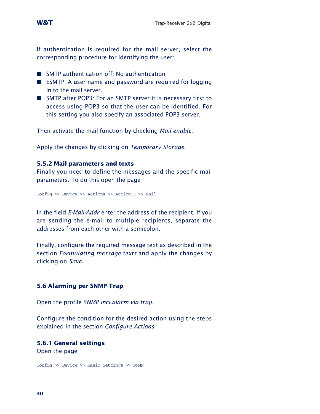

If authentication is required for the mail server, select the corresponding procedure for identifying the user:

- SMTP authentication off: No authentication
- **EXMTP:** A user name and password are required for logging in to the mail server.
- SMTP after POP3: For an SMTP server it is necessary first to access using POP3 so that the user can be identified. For this setting you also specify an associated POP3 server.

Then activate the mail function by checking *Mail enable*.

Apply the changes by clicking on *Temporary Storage*.

#### **5.5.2 Mail parameters and texts**

Finally you need to define the messages and the specific mail parameters. To do this open the page

Config >> Device >> Actions >> Action X >> Mail

In the field *E-Mail-Addr* enter the address of the recipient. If you are sending the e-mail to multiple recipients, separate the addresses from each other with a semicolon.

Finally, configure the required message text as described in the section *Formulating message texts* and apply the changes by clicking on *Save*.

## **5.6 Alarming per SNMP-Trap**

Open the profile *SNMP incl.alarm via trap*.

Configure the condition for the desired action using the steps explained in the section *Configure Actions*.

## **5.6.1 General settings**

Open the page

Config >> Device >> Basic Settings >> SNMP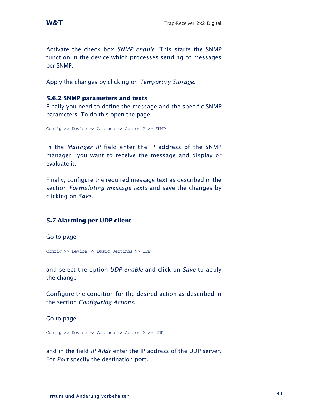Activate the check box *SNMP enable*. This starts the SNMP function in the device which processes sending of messages per SNMP.

Apply the changes by clicking on *Temporary Storage*.

#### **5.6.2 SNMP parameters and texts**

Finally you need to define the message and the specific SNMP parameters. To do this open the page

Config >> Device >> Actions >> Action X >> SNMP

In the *Manager IP* field enter the IP address of the SNMP manager you want to receive the message and display or evaluate it.

Finally, configure the required message text as described in the section *Formulating message texts* and save the changes by clicking on *Save*.

## **5.7 Alarming per UDP client**

Go to page

Config >> Device >> Basic Settings >> UDP

and select the option *UDP enable* and click on *Save* to apply the change

Configure the condition for the desired action as described in the section *Configuring Actions*.

Go to page

Config >> Device >> Actions >> Action X >> UDP

and in the field *IP Addr* enter the IP address of the UDP server. For *Port* specify the destination port.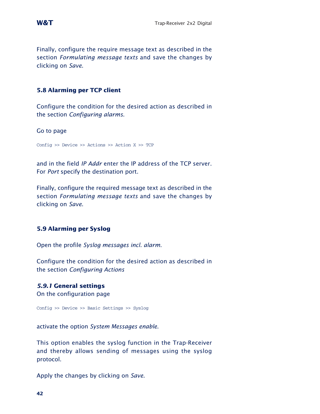Finally, configure the require message text as described in the section *Formulating message texts* and save the changes by clicking on *Save*.

## **5.8 Alarming per TCP client**

Configure the condition for the desired action as described in the section *Configuring alarms*.

Go to page

Config >> Device >> Actions >> Action X >> TCP

and in the field *IP Addr* enter the IP address of the TCP server. For *Port* specify the destination port.

Finally, configure the required message text as described in the section *Formulating message texts* and save the changes by clicking on *Save*.

## **5.9 Alarming per Syslog**

Open the profile *Syslog messages incl. alarm*.

Configure the condition for the desired action as described in the section *Configuring Actions*

## *5.9.1* **General settings**

On the configuration page

Config >> Device >> Basic Settings >> Syslog

activate the option *System Messages enable*.

This option enables the syslog function in the Trap-Receiver and thereby allows sending of messages using the syslog protocol.

Apply the changes by clicking on *Save*.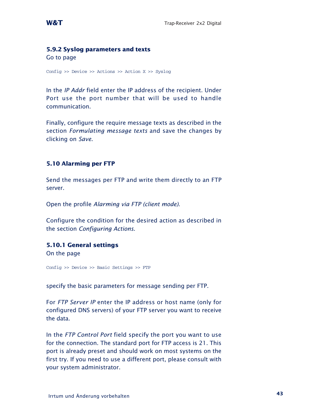## **5.9.2 Syslog parameters and texts**

Go to page

Config >> Device >> Actions >> Action X >> Syslog

In the *IP Addr* field enter the IP address of the recipient. Under Port use the port number that will be used to handle communication.

Finally, configure the require message texts as described in the section *Formulating message texts* and save the changes by clicking on *Save*.

## **5.10 Alarming per FTP**

Send the messages per FTP and write them directly to an FTP server.

Open the profile *Alarming via FTP (client mode)*.

Configure the condition for the desired action as described in the section *Configuring Actions*.

## **5.10.1 General settings**

On the page

Config >> Device >> Basic Settings >> FTP

specify the basic parameters for message sending per FTP.

For *FTP Server IP* enter the IP address or host name (only for configured DNS servers) of your FTP server you want to receive the data.

In the *FTP Control Port* field specify the port you want to use for the connection. The standard port for FTP access is 21. This port is already preset and should work on most systems on the first try. If you need to use a different port, please consult with your system administrator.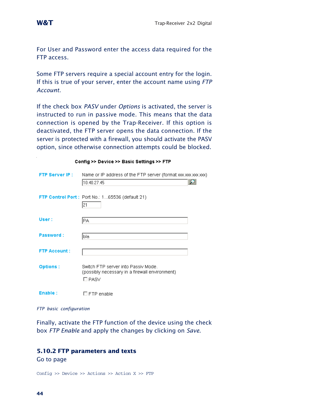XXX)

For User and Password enter the access data required for the FTP access.

Some FTP servers require a special account entry for the login. If this is true of your server, enter the account name using *FTP Account*.

If the check box *PASV* under *Options* is activated, the server is instructed to run in passive mode. This means that the data connection is opened by the Trap-Receiver. If this option is deactivated, the FTP server opens the data connection. If the server is protected with a firewall, you should activate the PASV option, since otherwise connection attempts could be blocked.

| Config >> Device >> Basic Settings >> FTP |                                                                                                 |  |  |
|-------------------------------------------|-------------------------------------------------------------------------------------------------|--|--|
| FTP Server IP : The                       | Name or IP address of the FTP server (format xxx.xxx.xxx.                                       |  |  |
|                                           | 10.40.27.45                                                                                     |  |  |
|                                           | FTP Control Port: Port No.: 165536 (default 21)<br>21                                           |  |  |
|                                           |                                                                                                 |  |  |
| User:                                     | PA                                                                                              |  |  |
| Password:                                 | bla                                                                                             |  |  |
| <b>FTP Account:</b>                       |                                                                                                 |  |  |
| <b>Options:</b>                           | Switch FTP server into Passiv Mode.<br>(possibly necessary in a firewall environment)<br>□ PASV |  |  |
| Enable:                                   | $\Box$ FTP enable                                                                               |  |  |

*FTP basic configuration*

Finally, activate the FTP function of the device using the check box *FTP Enable* and apply the changes by clicking on *Save*.

## **5.10.2 FTP parameters and texts**

Go to page

Config >> Device >> Actions >> Action X >> FTP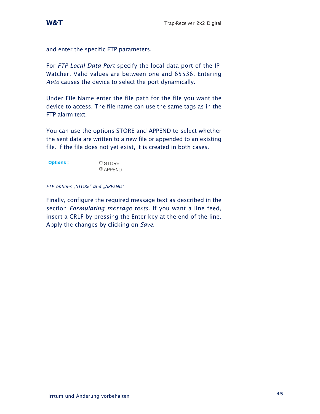and enter the specific FTP parameters.

For *FTP Local Data Port* specify the local data port of the IP-Watcher. Valid values are between one and 65536. Entering *Auto* causes the device to select the port dynamically.

Under File Name enter the file path for the file you want the device to access. The file name can use the same tags as in the FTP alarm text.

You can use the options STORE and APPEND to select whether the sent data are written to a new file or appended to an existing file. If the file does not yet exist, it is created in both cases.

| <b>Options:</b> | O STORE.   |
|-----------------|------------|
|                 | $@$ APPEND |

#### *FTP options "STORE" and "APPEND"*

Finally, configure the required message text as described in the section *Formulating message texts*. If you want a line feed, insert a CRLF by pressing the Enter key at the end of the line. Apply the changes by clicking on *Save*.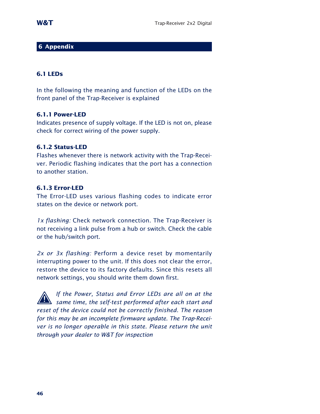## **6 Appendix**

## **6.1 LEDs**

In the following the meaning and function of the LEDs on the front panel of the Trap-Receiver is explained

#### **6.1.1 Power-LED**

Indicates presence of supply voltage. If the LED is not on, please check for correct wiring of the power supply.

## **6.1.2 Status-LED**

Flashes whenever there is network activity with the Trap-Receiver. Periodic flashing indicates that the port has a connection to another station.

## **6.1.3 Error-LED**

The Error-LED uses various flashing codes to indicate error states on the device or network port.

*1x flashing:* Check network connection. The Trap-Receiver is not receiving a link pulse from a hub or switch. Check the cable or the hub/switch port.

*2x or 3x flashing:* Perform a device reset by momentarily interrupting power to the unit. If this does not clear the error, restore the device to its factory defaults. Since this resets all network settings, you should write them down first.

*If the Power, Status and Error LEDs are all on at the 11 same time, the self-test performed after each start and reset of the device could not be correctly finished. The reason for this may be an incomplete firmware update. The Trap-Receiver is no longer operable in this state. Please return the unit through your dealer to W&T for inspection*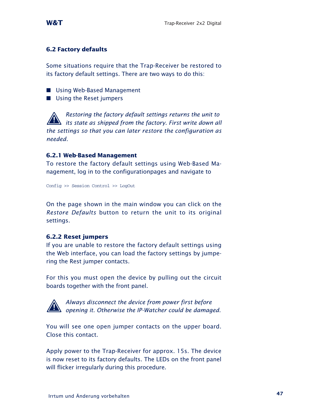## **6.2 Factory defaults**

Some situations require that the Trap-Receiver be restored to its factory default settings. There are two ways to do this:

- **Using Web-Based Management**
- **Using the Reset jumpers**

*Restoring the factory default settings returns the unit to its state as shipped from the factory. First write down all the settings so that you can later restore the configuration as needed.*

## **6.2.1 Web-Based Management**

To restore the factory default settings using Web-Based Management, log in to the configurationpages and navigate to

Config >> Session Control >> LogOut

On the page shown in the main window you can click on the *Restore Defaults* button to return the unit to its original settings.

## **6.2.2 Reset jumpers**

If you are unable to restore the factory default settings using the Web interface, you can load the factory settings by jumpering the Rest jumper contacts.

For this you must open the device by pulling out the circuit boards together with the front panel.



*Always disconnect the device from power first before 1 opening it. Otherwise the IP-Watcher could be damaged.*

You will see one open jumper contacts on the upper board. Close this contact.

Apply power to the Trap-Receiver for approx. 15s. The device is now reset to its factory defaults. The LEDs on the front panel will flicker irregularly during this procedure.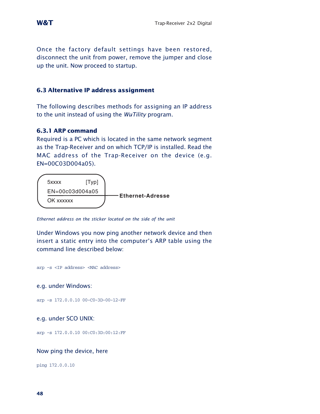Once the factory default settings have been restored, disconnect the unit from power, remove the jumper and close up the unit. Now proceed to startup.

#### **6.3 Alternative IP address assignment**

The following describes methods for assigning an IP address to the unit instead of using the *WuTility* program.

#### **6.3.1 ARP command**

Required is a PC which is located in the same network segment as the Trap-Receiver and on which TCP/IP is installed. Read the MAC address of the Trap-Receiver on the device (e.g. EN=00C03D004a05).



*Ethernet address on the sticker located on the side of the unit*

Under Windows you now ping another network device and then insert a static entry into the computer's ARP table using the command line described below:

arp -s <IP address> <MAC address>

e.g. under Windows:

arp -s 172.0.0.10 00-C0-3D-00-12-FF

e.g. under SCO UNIX:

arp -s 172.0.0.10 00:C0:3D:00:12:FF

#### Now ping the device, here

ping 172.0.0.10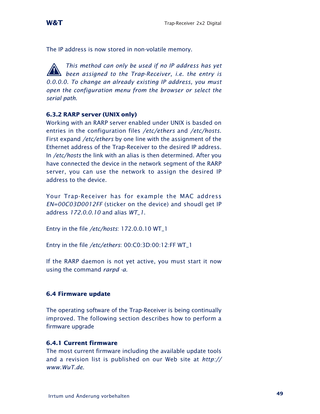

The IP address is now stored in non-volatile memory.

**This method can only be used if no IP address has yet**<br>**1** *been assigned to the Trap-Receiver, i.e. the entry is 0.0.0.0. To change an already existing IP address, you must open the configuration menu from the browser or select the serial path.*

#### **6.3.2 RARP server (UNIX only)**

Working with an RARP server enabled under UNIX is basded on entries in the configuration files */etc/ethers* and */etc/hosts*. First expand */etc/ethers* by one line with the assignment of the Ethernet address of the Trap-Receiver to the desired IP address. In */etc/hosts* the link with an alias is then determined. After you have connected the device in the network segment of the RARP server, you can use the network to assign the desired IP address to the device.

Your Trap-Receiver has for example the MAC address *EN=00C03D0012FF* (sticker on the device) and shoudl get IP address *172.0.0.10* and alias *WT\_1*.

Entry in the file */etc/hosts*: 172.0.0.10 WT\_1

Entry in the file */etc/ethers*: 00:C0:3D:00:12:FF WT\_1

If the RARP daemon is not yet active, you must start it now using the command *rarpd -a*.

#### **6.4 Firmware update**

The operating software of the Trap-Receiver is being continually improved. The following section describes how to perform a firmware upgrade

#### **6.4.1 Current firmware**

The most current firmware including the available update tools and a revision list is published on our Web site at *http:// www.WuT.de*.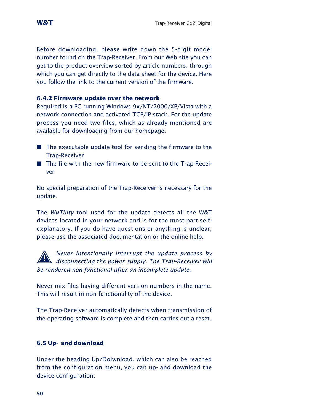Before downloading, please write down the 5-digit model number found on the Trap-Receiver. From our Web site you can get to the product overview sorted by article numbers, through which you can get directly to the data sheet for the device. Here you follow the link to the current version of the firmware.

## **6.4.2 Firmware update over the network**

Required is a PC running Windows 9x/NT/2000/XP/Vista with a network connection and activated TCP/IP stack. For the update process you need two files, which as already mentioned are available for downloading from our homepage:

- $\blacksquare$  The executable update tool for sending the firmware to the Trap-Receiver
- The file with the new firmware to be sent to the Trap-Receiver

No special preparation of the Trap-Receiver is necessary for the update.

The *WuTility* tool used for the update detects all the W&T devices located in your network and is for the most part selfexplanatory. If you do have questions or anything is unclear, please use the associated documentation or the online help.

*Never intentionally interrupt the update process by disconnecting the power supply. The Trap-Receiver will be rendered non-functional after an incomplete update.*

Never mix files having different version numbers in the name. This will result in non-functionality of the device.

The Trap-Receiver automatically detects when transmission of the operating software is complete and then carries out a reset.

## **6.5 Up- and download**

Under the heading Up/Dolwnload, which can also be reached from the configuration menu, you can up- and download the device configuration: